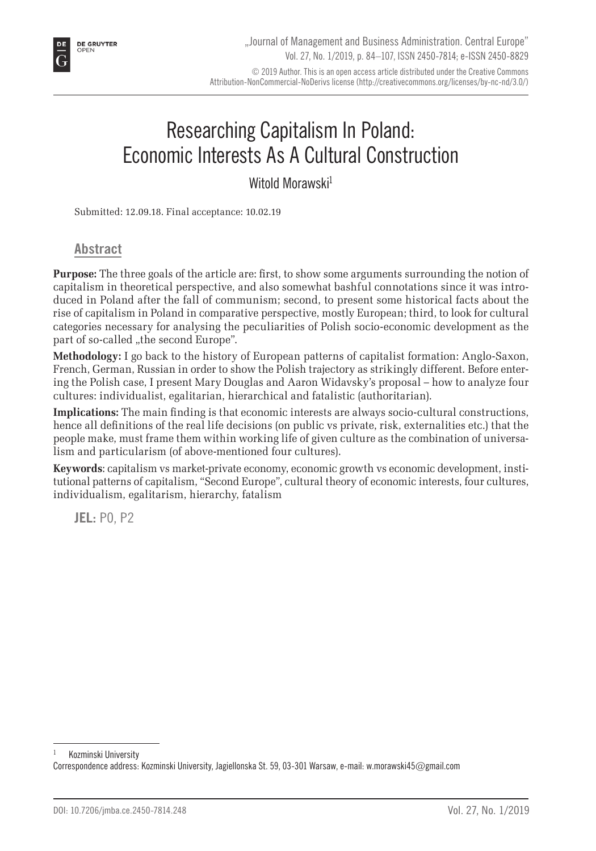# Researching Capitalism In Poland: Economic Interests As A Cultural Construction

Witold Morawski<sup>1</sup>

Submitted: 12.09.18. Final acceptance: 10.02.19

**Abstract**

**Purpose:** The three goals of the article are: first, to show some arguments surrounding the notion of capitalism in theoretical perspective, and also somewhat bashful connotations since it was introduced in Poland after the fall of communism; second, to present some historical facts about the rise of capitalism in Poland in comparative perspective, mostly European; third, to look for cultural categories necessary for analysing the peculiarities of Polish socio-economic development as the part of so-called "the second Europe".

**Methodology:** I go back to the history of European patterns of capitalist formation: Anglo-Saxon, French, German, Russian in order to show the Polish trajectory as strikingly different. Before entering the Polish case, I present Mary Douglas and Aaron Widavsky's proposal – how to analyze four cultures: individualist, egalitarian, hierarchical and fatalistic (authoritarian).

**Implications:** The main finding is that economic interests are always socio-cultural constructions, hence all definitions of the real life decisions (on public vs private, risk, externalities etc.) that the people make, must frame them within working life of given culture as the combination of universalism and particularism (of above-mentioned four cultures).

**Keywords**: capitalism vs market-private economy, economic growth vs economic development, institutional patterns of capitalism, "Second Europe", cultural theory of economic interests, four cultures, individualism, egalitarism, hierarchy, fatalism

**JEL:** P0, P2

Kozminski University

Correspondence address: Kozminski University, Jagiellonska St. 59, 03-301 Warsaw, e-mail: w.morawski45@gmail.com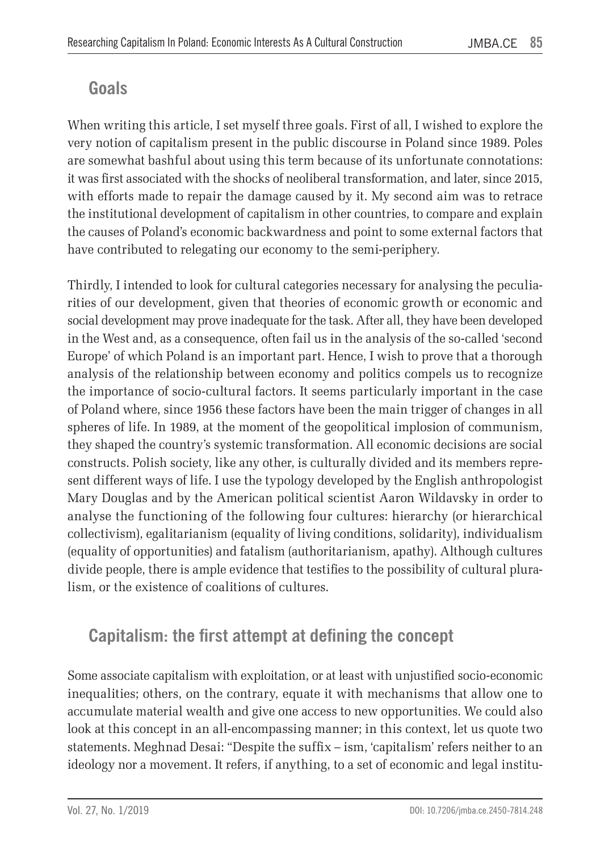# **Goals**

When writing this article, I set myself three goals. First of all, I wished to explore the very notion of capitalism present in the public discourse in Poland since 1989. Poles are somewhat bashful about using this term because of its unfortunate connotations: it was first associated with the shocks of neoliberal transformation, and later, since 2015, with efforts made to repair the damage caused by it. My second aim was to retrace the institutional development of capitalism in other countries, to compare and explain the causes of Poland's economic backwardness and point to some external factors that have contributed to relegating our economy to the semi-periphery.

Thirdly, I intended to look for cultural categories necessary for analysing the peculiarities of our development, given that theories of economic growth or economic and social development may prove inadequate for the task. After all, they have been developed in the West and, as a consequence, often fail us in the analysis of the so-called 'second Europe' of which Poland is an important part. Hence, I wish to prove that a thorough analysis of the relationship between economy and politics compels us to recognize the importance of socio-cultural factors. It seems particularly important in the case of Poland where, since 1956 these factors have been the main trigger of changes in all spheres of life. In 1989, at the moment of the geopolitical implosion of communism, they shaped the country's systemic transformation. All economic decisions are social constructs. Polish society, like any other, is culturally divided and its members represent different ways of life. I use the typology developed by the English anthropologist Mary Douglas and by the American political scientist Aaron Wildavsky in order to analyse the functioning of the following four cultures: hierarchy (or hierarchical collectivism), egalitarianism (equality of living conditions, solidarity), individualism (equality of opportunities) and fatalism (authoritarianism, apathy). Although cultures divide people, there is ample evidence that testifies to the possibility of cultural pluralism, or the existence of coalitions of cultures.

# **Capitalism: the first attempt at defining the concept**

Some associate capitalism with exploitation, or at least with unjustified socio-economic inequalities; others, on the contrary, equate it with mechanisms that allow one to accumulate material wealth and give one access to new opportunities. We could also look at this concept in an all-encompassing manner; in this context, let us quote two statements. Meghnad Desai: "Despite the suffix – ism, 'capitalism' refers neither to an ideology nor a movement. It refers, if anything, to a set of economic and legal institu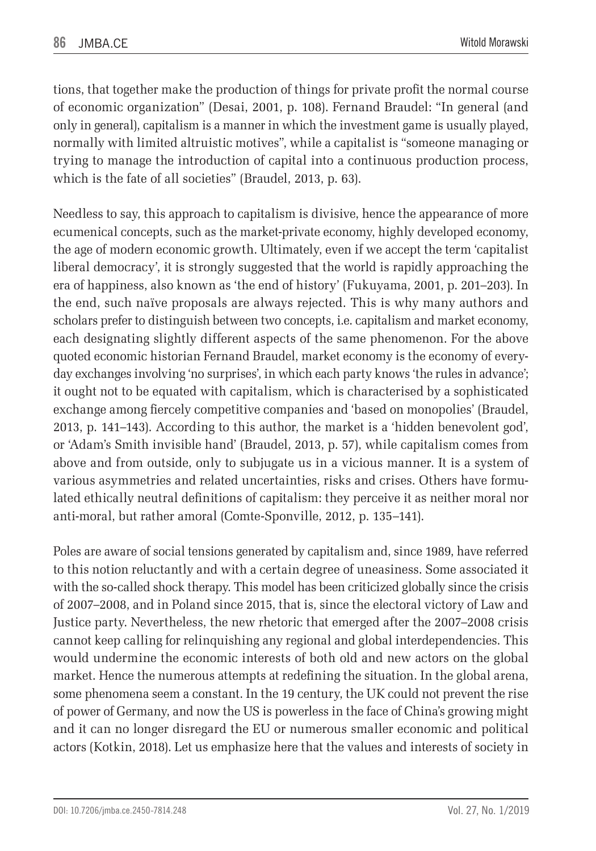tions, that together make the production of things for private profit the normal course of economic organization" (Desai, 2001, p. 108). Fernand Braudel: "In general (and only in general), capitalism is a manner in which the investment game is usually played, normally with limited altruistic motives", while a capitalist is "someone managing or trying to manage the introduction of capital into a continuous production process, which is the fate of all societies" (Braudel, 2013, p. 63).

Needless to say, this approach to capitalism is divisive, hence the appearance of more ecumenical concepts, such as the market-private economy, highly developed economy, the age of modern economic growth. Ultimately, even if we accept the term 'capitalist liberal democracy', it is strongly suggested that the world is rapidly approaching the era of happiness, also known as 'the end of history' (Fukuyama, 2001, p. 201–203). In the end, such naïve proposals are always rejected. This is why many authors and scholars prefer to distinguish between two concepts, i.e. capitalism and market economy, each designating slightly different aspects of the same phenomenon. For the above quoted economic historian Fernand Braudel, market economy is the economy of everyday exchanges involving 'no surprises', in which each party knows 'the rules in advance'; it ought not to be equated with capitalism, which is characterised by a sophisticated exchange among fiercely competitive companies and 'based on monopolies' (Braudel, 2013, p. 141–143). According to this author, the market is a 'hidden benevolent god', or 'Adam's Smith invisible hand' (Braudel, 2013, p. 57), while capitalism comes from above and from outside, only to subjugate us in a vicious manner. It is a system of various asymmetries and related uncertainties, risks and crises. Others have formulated ethically neutral definitions of capitalism: they perceive it as neither moral nor anti-moral, but rather amoral (Comte-Sponville, 2012, p. 135–141).

Poles are aware of social tensions generated by capitalism and, since 1989, have referred to this notion reluctantly and with a certain degree of uneasiness. Some associated it with the so-called shock therapy. This model has been criticized globally since the crisis of 2007–2008, and in Poland since 2015, that is, since the electoral victory of Law and Justice party. Nevertheless, the new rhetoric that emerged after the 2007–2008 crisis cannot keep calling for relinquishing any regional and global interdependencies. This would undermine the economic interests of both old and new actors on the global market. Hence the numerous attempts at redefining the situation. In the global arena, some phenomena seem a constant. In the 19 century, the UK could not prevent the rise of power of Germany, and now the US is powerless in the face of China's growing might and it can no longer disregard the EU or numerous smaller economic and political actors (Kotkin, 2018). Let us emphasize here that the values and interests of society in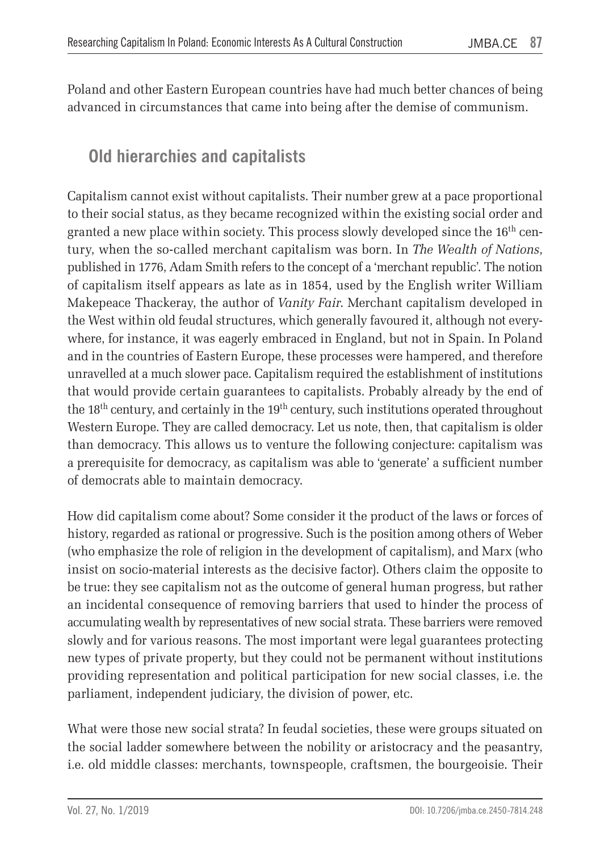Poland and other Eastern European countries have had much better chances of being advanced in circumstances that came into being after the demise of communism.

# **Old hierarchies and capitalists**

Capitalism cannot exist without capitalists. Their number grew at a pace proportional to their social status, as they became recognized within the existing social order and granted a new place within society. This process slowly developed since the  $16<sup>th</sup>$  century, when the so-called merchant capitalism was born. In *The Wealth of Nations*, published in 1776, Adam Smith refers to the concept of a 'merchant republic'. The notion of capitalism itself appears as late as in 1854, used by the English writer William Makepeace Thackeray, the author of *Vanity Fair*. Merchant capitalism developed in the West within old feudal structures, which generally favoured it, although not everywhere, for instance, it was eagerly embraced in England, but not in Spain. In Poland and in the countries of Eastern Europe, these processes were hampered, and therefore unravelled at a much slower pace. Capitalism required the establishment of institutions that would provide certain guarantees to capitalists. Probably already by the end of the  $18<sup>th</sup>$  century, and certainly in the  $19<sup>th</sup>$  century, such institutions operated throughout Western Europe. They are called democracy. Let us note, then, that capitalism is older than democracy. This allows us to venture the following conjecture: capitalism was a prerequisite for democracy, as capitalism was able to 'generate' a sufficient number of democrats able to maintain democracy.

How did capitalism come about? Some consider it the product of the laws or forces of history, regarded as rational or progressive. Such is the position among others of Weber (who emphasize the role of religion in the development of capitalism), and Marx (who insist on socio-material interests as the decisive factor). Others claim the opposite to be true: they see capitalism not as the outcome of general human progress, but rather an incidental consequence of removing barriers that used to hinder the process of accumulating wealth by representatives of new social strata. These barriers were removed slowly and for various reasons. The most important were legal guarantees protecting new types of private property, but they could not be permanent without institutions providing representation and political participation for new social classes, i.e. the parliament, independent judiciary, the division of power, etc.

What were those new social strata? In feudal societies, these were groups situated on the social ladder somewhere between the nobility or aristocracy and the peasantry, i.e. old middle classes: merchants, townspeople, craftsmen, the bourgeoisie. Their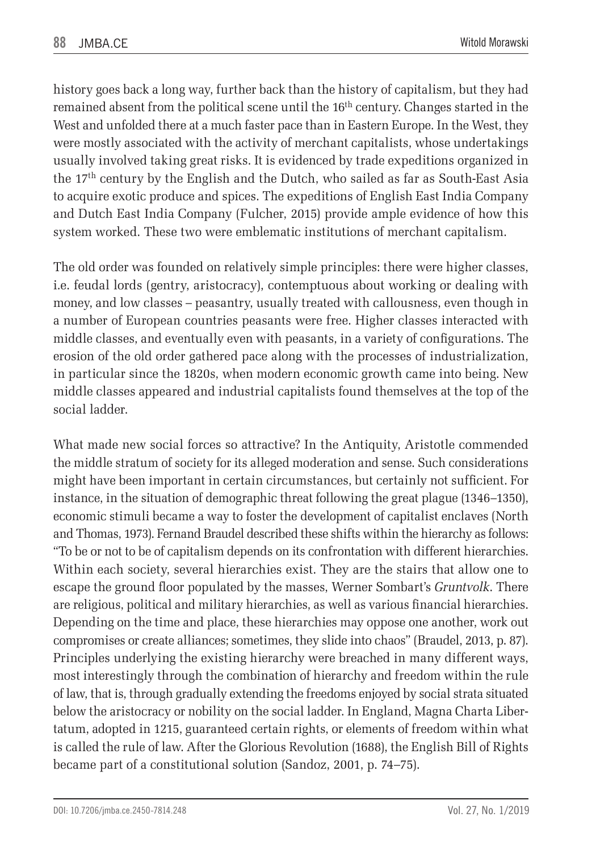history goes back a long way, further back than the history of capitalism, but they had remained absent from the political scene until the  $16<sup>th</sup>$  century. Changes started in the West and unfolded there at a much faster pace than in Eastern Europe. In the West, they were mostly associated with the activity of merchant capitalists, whose undertakings usually involved taking great risks. It is evidenced by trade expeditions organized in the  $17<sup>th</sup>$  century by the English and the Dutch, who sailed as far as South-East Asia to acquire exotic produce and spices. The expeditions of English East India Company and Dutch East India Company (Fulcher, 2015) provide ample evidence of how this system worked. These two were emblematic institutions of merchant capitalism.

The old order was founded on relatively simple principles: there were higher classes, i.e. feudal lords (gentry, aristocracy), contemptuous about working or dealing with money, and low classes – peasantry, usually treated with callousness, even though in a number of European countries peasants were free. Higher classes interacted with middle classes, and eventually even with peasants, in a variety of configurations. The erosion of the old order gathered pace along with the processes of industrialization, in particular since the 1820s, when modern economic growth came into being. New middle classes appeared and industrial capitalists found themselves at the top of the social ladder.

What made new social forces so attractive? In the Antiquity, Aristotle commended the middle stratum of society for its alleged moderation and sense. Such considerations might have been important in certain circumstances, but certainly not sufficient. For instance, in the situation of demographic threat following the great plague (1346–1350), economic stimuli became a way to foster the development of capitalist enclaves (North and Thomas, 1973). Fernand Braudel described these shifts within the hierarchy as follows: "To be or not to be of capitalism depends on its confrontation with different hierarchies. Within each society, several hierarchies exist. They are the stairs that allow one to escape the ground floor populated by the masses, Werner Sombart's *Gruntvolk*. There are religious, political and military hierarchies, as well as various financial hierarchies. Depending on the time and place, these hierarchies may oppose one another, work out compromises or create alliances; sometimes, they slide into chaos" (Braudel, 2013, p. 87). Principles underlying the existing hierarchy were breached in many different ways, most interestingly through the combination of hierarchy and freedom within the rule of law, that is, through gradually extending the freedoms enjoyed by social strata situated below the aristocracy or nobility on the social ladder. In England, Magna Charta Libertatum, adopted in 1215, guaranteed certain rights, or elements of freedom within what is called the rule of law. After the Glorious Revolution (1688), the English Bill of Rights became part of a constitutional solution (Sandoz, 2001, p. 74–75).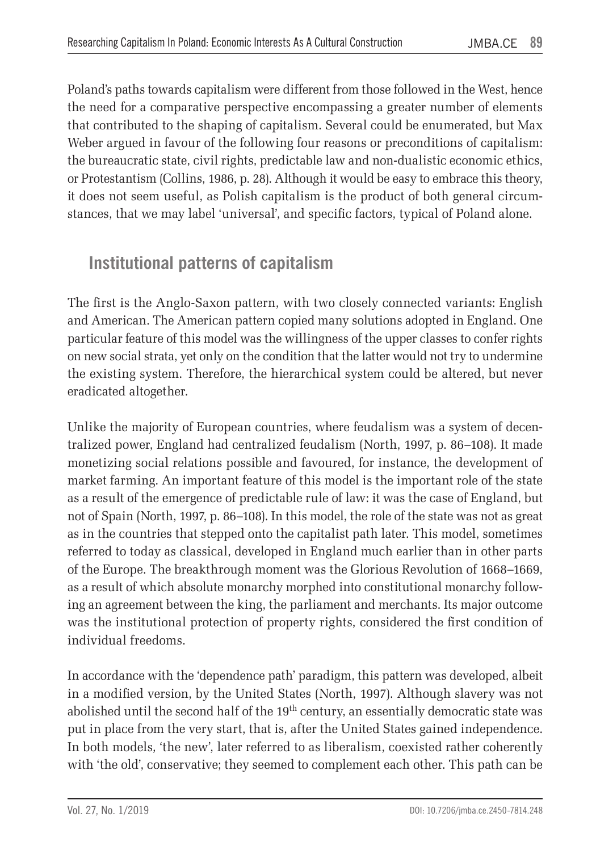Poland's paths towards capitalism were different from those followed in the West, hence the need for a comparative perspective encompassing a greater number of elements that contributed to the shaping of capitalism. Several could be enumerated, but Max Weber argued in favour of the following four reasons or preconditions of capitalism: the bureaucratic state, civil rights, predictable law and non-dualistic economic ethics, or Protestantism (Collins, 1986, p. 28). Although it would be easy to embrace this theory, it does not seem useful, as Polish capitalism is the product of both general circumstances, that we may label 'universal', and specific factors, typical of Poland alone.

# **Institutional patterns of capitalism**

The first is the Anglo-Saxon pattern, with two closely connected variants: English and American. The American pattern copied many solutions adopted in England. One particular feature of this model was the willingness of the upper classes to confer rights on new social strata, yet only on the condition that the latter would not try to undermine the existing system. Therefore, the hierarchical system could be altered, but never eradicated altogether.

Unlike the majority of European countries, where feudalism was a system of decentralized power, England had centralized feudalism (North, 1997, p. 86–108). It made monetizing social relations possible and favoured, for instance, the development of market farming. An important feature of this model is the important role of the state as a result of the emergence of predictable rule of law: it was the case of England, but not of Spain (North, 1997, p. 86–108). In this model, the role of the state was not as great as in the countries that stepped onto the capitalist path later. This model, sometimes referred to today as classical, developed in England much earlier than in other parts of the Europe. The breakthrough moment was the Glorious Revolution of 1668–1669, as a result of which absolute monarchy morphed into constitutional monarchy following an agreement between the king, the parliament and merchants. Its major outcome was the institutional protection of property rights, considered the first condition of individual freedoms.

In accordance with the 'dependence path' paradigm, this pattern was developed, albeit in a modified version, by the United States (North, 1997). Although slavery was not abolished until the second half of the 19<sup>th</sup> century, an essentially democratic state was put in place from the very start, that is, after the United States gained independence. In both models, 'the new', later referred to as liberalism, coexisted rather coherently with 'the old', conservative; they seemed to complement each other. This path can be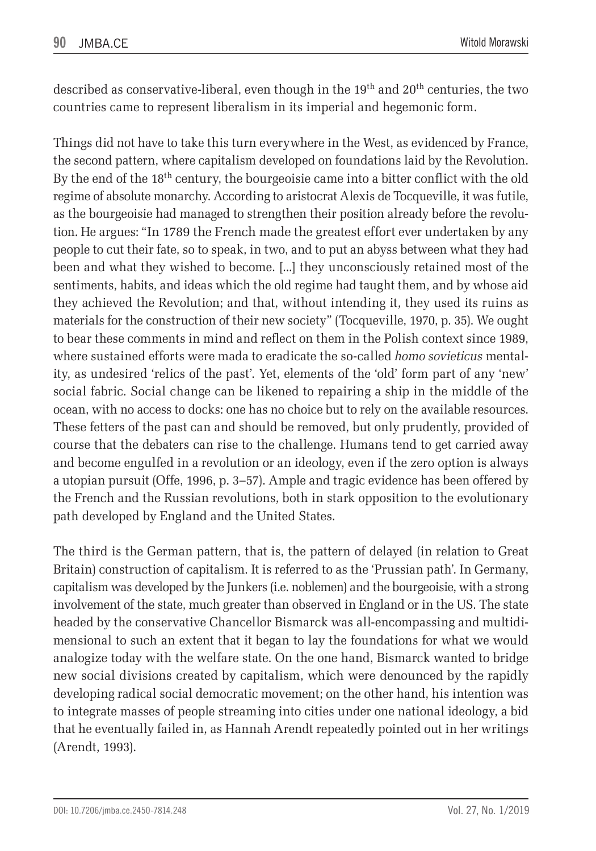described as conservative-liberal, even though in the  $19<sup>th</sup>$  and  $20<sup>th</sup>$  centuries, the two countries came to represent liberalism in its imperial and hegemonic form.

Things did not have to take this turn everywhere in the West, as evidenced by France, the second pattern, where capitalism developed on foundations laid by the Revolution. By the end of the 18th century, the bourgeoisie came into a bitter conflict with the old regime of absolute monarchy. According to aristocrat Alexis de Tocqueville, it was futile, as the bourgeoisie had managed to strengthen their position already before the revolution. He argues: "In 1789 the French made the greatest effort ever undertaken by any people to cut their fate, so to speak, in two, and to put an abyss between what they had been and what they wished to become. [...] they unconsciously retained most of the sentiments, habits, and ideas which the old regime had taught them, and by whose aid they achieved the Revolution; and that, without intending it, they used its ruins as materials for the construction of their new society" (Tocqueville, 1970, p. 35). We ought to bear these comments in mind and reflect on them in the Polish context since 1989, where sustained efforts were mada to eradicate the so-called *homo sovieticus* mentality, as undesired 'relics of the past'. Yet, elements of the 'old' form part of any 'new' social fabric. Social change can be likened to repairing a ship in the middle of the ocean, with no access to docks: one has no choice but to rely on the available resources. These fetters of the past can and should be removed, but only prudently, provided of course that the debaters can rise to the challenge. Humans tend to get carried away and become engulfed in a revolution or an ideology, even if the zero option is always a utopian pursuit (Offe, 1996, p. 3–57). Ample and tragic evidence has been offered by the French and the Russian revolutions, both in stark opposition to the evolutionary path developed by England and the United States.

The third is the German pattern, that is, the pattern of delayed (in relation to Great Britain) construction of capitalism. It is referred to as the 'Prussian path'. In Germany, capitalism was developed by the Junkers (i.e. noblemen) and the bourgeoisie, with a strong involvement of the state, much greater than observed in England or in the US. The state headed by the conservative Chancellor Bismarck was all-encompassing and multidimensional to such an extent that it began to lay the foundations for what we would analogize today with the welfare state. On the one hand, Bismarck wanted to bridge new social divisions created by capitalism, which were denounced by the rapidly developing radical social democratic movement; on the other hand, his intention was to integrate masses of people streaming into cities under one national ideology, a bid that he eventually failed in, as Hannah Arendt repeatedly pointed out in her writings (Arendt, 1993).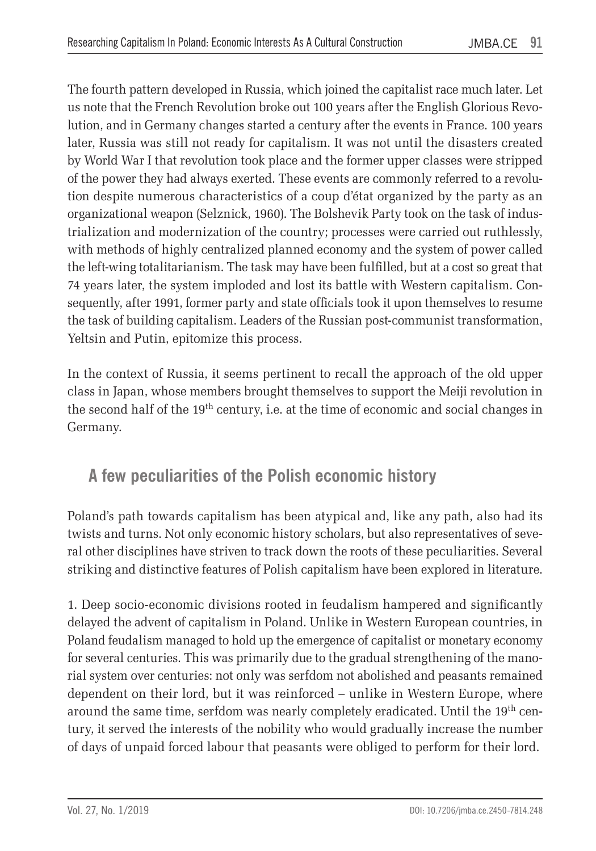The fourth pattern developed in Russia, which joined the capitalist race much later. Let us note that the French Revolution broke out 100 years after the English Glorious Revolution, and in Germany changes started a century after the events in France. 100 years later, Russia was still not ready for capitalism. It was not until the disasters created by World War I that revolution took place and the former upper classes were stripped of the power they had always exerted. These events are commonly referred to a revolution despite numerous characteristics of a coup d'état organized by the party as an organizational weapon (Selznick, 1960). The Bolshevik Party took on the task of industrialization and modernization of the country; processes were carried out ruthlessly, with methods of highly centralized planned economy and the system of power called the left-wing totalitarianism. The task may have been fulfilled, but at a cost so great that 74 years later, the system imploded and lost its battle with Western capitalism. Consequently, after 1991, former party and state officials took it upon themselves to resume the task of building capitalism. Leaders of the Russian post-communist transformation, Yeltsin and Putin, epitomize this process.

In the context of Russia, it seems pertinent to recall the approach of the old upper class in Japan, whose members brought themselves to support the Meiji revolution in the second half of the  $19<sup>th</sup>$  century, i.e. at the time of economic and social changes in Germany.

# **A few peculiarities of the Polish economic history**

Poland's path towards capitalism has been atypical and, like any path, also had its twists and turns. Not only economic history scholars, but also representatives of several other disciplines have striven to track down the roots of these peculiarities. Several striking and distinctive features of Polish capitalism have been explored in literature.

1. Deep socio-economic divisions rooted in feudalism hampered and significantly delayed the advent of capitalism in Poland. Unlike in Western European countries, in Poland feudalism managed to hold up the emergence of capitalist or monetary economy for several centuries. This was primarily due to the gradual strengthening of the manorial system over centuries: not only was serfdom not abolished and peasants remained dependent on their lord, but it was reinforced – unlike in Western Europe, where around the same time, serfdom was nearly completely eradicated. Until the 19th century, it served the interests of the nobility who would gradually increase the number of days of unpaid forced labour that peasants were obliged to perform for their lord.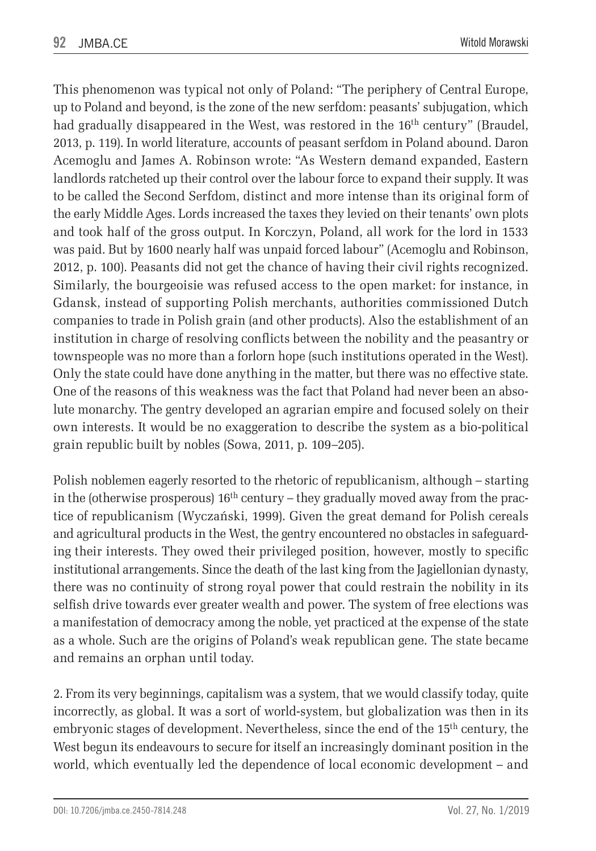This phenomenon was typical not only of Poland: "The periphery of Central Europe, up to Poland and beyond, is the zone of the new serfdom: peasants' subjugation, which had gradually disappeared in the West, was restored in the  $16<sup>th</sup>$  century" (Braudel, 2013, p. 119). In world literature, accounts of peasant serfdom in Poland abound. Daron Acemoglu and James A. Robinson wrote: "As Western demand expanded, Eastern landlords ratcheted up their control over the labour force to expand their supply. It was to be called the Second Serfdom, distinct and more intense than its original form of the early Middle Ages. Lords increased the taxes they levied on their tenants' own plots and took half of the gross output. In Korczyn, Poland, all work for the lord in 1533 was paid. But by 1600 nearly half was unpaid forced labour" (Acemoglu and Robinson, 2012, p. 100). Peasants did not get the chance of having their civil rights recognized. Similarly, the bourgeoisie was refused access to the open market: for instance, in Gdansk, instead of supporting Polish merchants, authorities commissioned Dutch companies to trade in Polish grain (and other products). Also the establishment of an institution in charge of resolving conflicts between the nobility and the peasantry or townspeople was no more than a forlorn hope (such institutions operated in the West). Only the state could have done anything in the matter, but there was no effective state. One of the reasons of this weakness was the fact that Poland had never been an absolute monarchy. The gentry developed an agrarian empire and focused solely on their own interests. It would be no exaggeration to describe the system as a bio-political grain republic built by nobles (Sowa, 2011, p. 109–205).

Polish noblemen eagerly resorted to the rhetoric of republicanism, although – starting in the (otherwise prosperous)  $16<sup>th</sup>$  century – they gradually moved away from the practice of republicanism (Wyczański, 1999). Given the great demand for Polish cereals and agricultural products in the West, the gentry encountered no obstacles in safeguarding their interests. They owed their privileged position, however, mostly to specific institutional arrangements. Since the death of the last king from the Jagiellonian dynasty, there was no continuity of strong royal power that could restrain the nobility in its selfish drive towards ever greater wealth and power. The system of free elections was a manifestation of democracy among the noble, yet practiced at the expense of the state as a whole. Such are the origins of Poland's weak republican gene. The state became and remains an orphan until today.

2. From its very beginnings, capitalism was a system, that we would classify today, quite incorrectly, as global. It was a sort of world-system, but globalization was then in its embryonic stages of development. Nevertheless, since the end of the 15<sup>th</sup> century, the West begun its endeavours to secure for itself an increasingly dominant position in the world, which eventually led the dependence of local economic development – and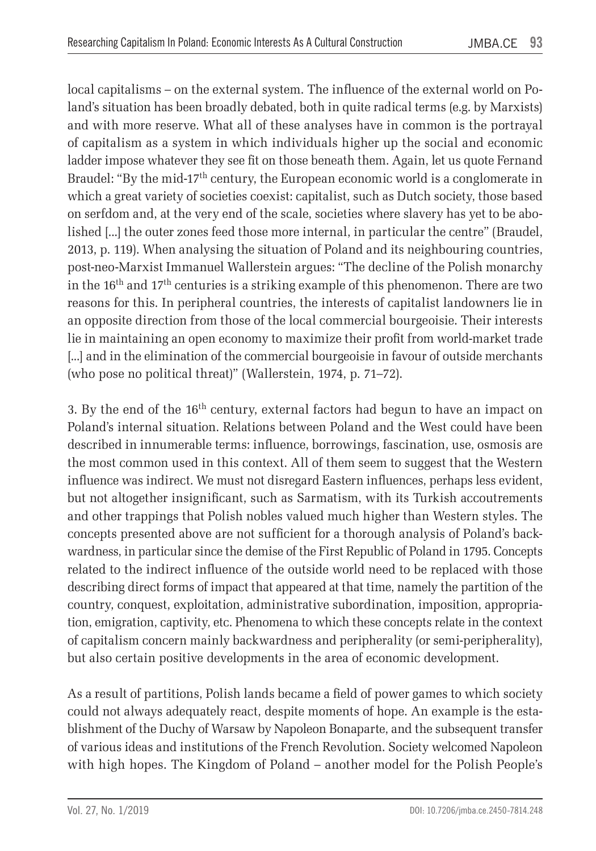local capitalisms – on the external system. The influence of the external world on Poland's situation has been broadly debated, both in quite radical terms (e.g. by Marxists) and with more reserve. What all of these analyses have in common is the portrayal of capitalism as a system in which individuals higher up the social and economic ladder impose whatever they see fit on those beneath them. Again, let us quote Fernand Braudel: "By the mid-17<sup>th</sup> century, the European economic world is a conglomerate in which a great variety of societies coexist: capitalist, such as Dutch society, those based on serfdom and, at the very end of the scale, societies where slavery has yet to be abolished [...] the outer zones feed those more internal, in particular the centre" (Braudel, 2013, p. 119). When analysing the situation of Poland and its neighbouring countries, post-neo-Marxist Immanuel Wallerstein argues: "The decline of the Polish monarchy in the 16th and 17th centuries is a striking example of this phenomenon. There are two reasons for this. In peripheral countries, the interests of capitalist landowners lie in an opposite direction from those of the local commercial bourgeoisie. Their interests lie in maintaining an open economy to maximize their profit from world-market trade [...] and in the elimination of the commercial bourgeoisie in favour of outside merchants (who pose no political threat)" (Wallerstein, 1974, p. 71–72).

3. By the end of the  $16<sup>th</sup>$  century, external factors had begun to have an impact on Poland's internal situation. Relations between Poland and the West could have been described in innumerable terms: influence, borrowings, fascination, use, osmosis are the most common used in this context. All of them seem to suggest that the Western influence was indirect. We must not disregard Eastern influences, perhaps less evident, but not altogether insignificant, such as Sarmatism, with its Turkish accoutrements and other trappings that Polish nobles valued much higher than Western styles. The concepts presented above are not sufficient for a thorough analysis of Poland's backwardness, in particular since the demise of the First Republic of Poland in 1795. Concepts related to the indirect influence of the outside world need to be replaced with those describing direct forms of impact that appeared at that time, namely the partition of the country, conquest, exploitation, administrative subordination, imposition, appropriation, emigration, captivity, etc. Phenomena to which these concepts relate in the context of capitalism concern mainly backwardness and peripherality (or semi-peripherality), but also certain positive developments in the area of economic development.

As a result of partitions, Polish lands became a field of power games to which society could not always adequately react, despite moments of hope. An example is the establishment of the Duchy of Warsaw by Napoleon Bonaparte, and the subsequent transfer of various ideas and institutions of the French Revolution. Society welcomed Napoleon with high hopes. The Kingdom of Poland – another model for the Polish People's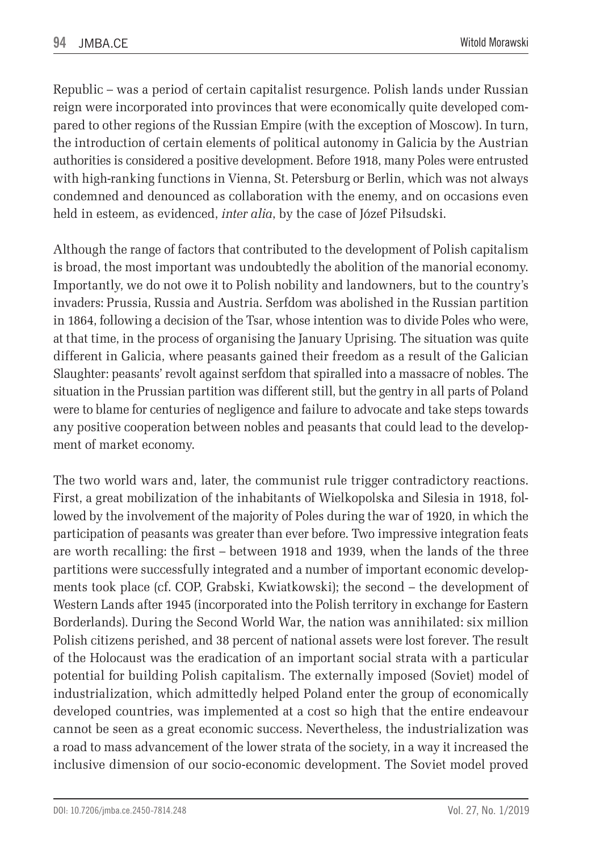Republic – was a period of certain capitalist resurgence. Polish lands under Russian reign were incorporated into provinces that were economically quite developed compared to other regions of the Russian Empire (with the exception of Moscow). In turn, the introduction of certain elements of political autonomy in Galicia by the Austrian authorities is considered a positive development. Before 1918, many Poles were entrusted with high-ranking functions in Vienna, St. Petersburg or Berlin, which was not always condemned and denounced as collaboration with the enemy, and on occasions even held in esteem, as evidenced, *inter alia*, by the case of Józef Piłsudski.

Although the range of factors that contributed to the development of Polish capitalism is broad, the most important was undoubtedly the abolition of the manorial economy. Importantly, we do not owe it to Polish nobility and landowners, but to the country's invaders: Prussia, Russia and Austria. Serfdom was abolished in the Russian partition in 1864, following a decision of the Tsar, whose intention was to divide Poles who were, at that time, in the process of organising the January Uprising. The situation was quite different in Galicia, where peasants gained their freedom as a result of the Galician Slaughter: peasants' revolt against serfdom that spiralled into a massacre of nobles. The situation in the Prussian partition was different still, but the gentry in all parts of Poland were to blame for centuries of negligence and failure to advocate and take steps towards any positive cooperation between nobles and peasants that could lead to the development of market economy.

The two world wars and, later, the communist rule trigger contradictory reactions. First, a great mobilization of the inhabitants of Wielkopolska and Silesia in 1918, followed by the involvement of the majority of Poles during the war of 1920, in which the participation of peasants was greater than ever before. Two impressive integration feats are worth recalling: the first – between 1918 and 1939, when the lands of the three partitions were successfully integrated and a number of important economic developments took place (cf. COP, Grabski, Kwiatkowski); the second – the development of Western Lands after 1945 (incorporated into the Polish territory in exchange for Eastern Borderlands). During the Second World War, the nation was annihilated: six million Polish citizens perished, and 38 percent of national assets were lost forever. The result of the Holocaust was the eradication of an important social strata with a particular potential for building Polish capitalism. The externally imposed (Soviet) model of industrialization, which admittedly helped Poland enter the group of economically developed countries, was implemented at a cost so high that the entire endeavour cannot be seen as a great economic success. Nevertheless, the industrialization was a road to mass advancement of the lower strata of the society, in a way it increased the inclusive dimension of our socio-economic development. The Soviet model proved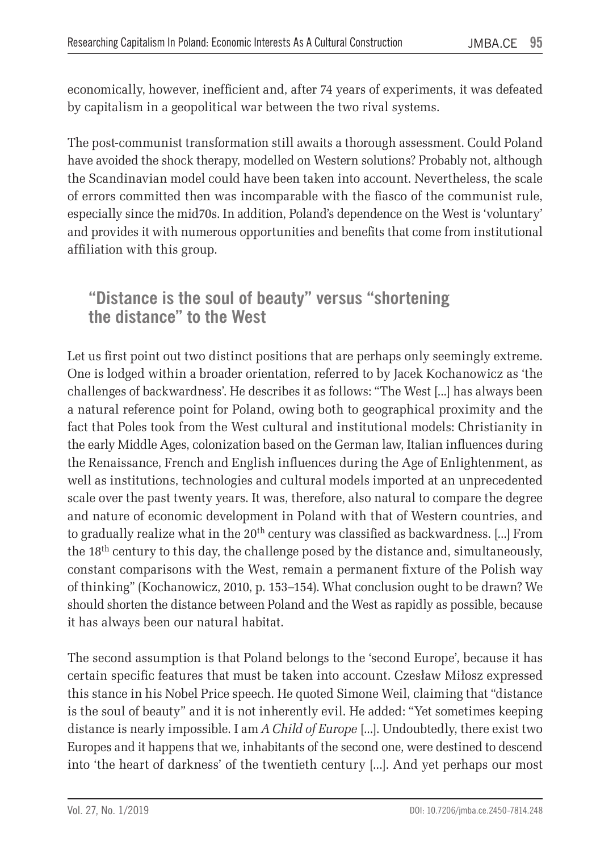economically, however, inefficient and, after 74 years of experiments, it was defeated by capitalism in a geopolitical war between the two rival systems.

The post-communist transformation still awaits a thorough assessment. Could Poland have avoided the shock therapy, modelled on Western solutions? Probably not, although the Scandinavian model could have been taken into account. Nevertheless, the scale of errors committed then was incomparable with the fiasco of the communist rule, especially since the mid70s. In addition, Poland's dependence on the West is 'voluntary' and provides it with numerous opportunities and benefits that come from institutional affiliation with this group.

**"Distance is the soul of beauty" versus "shortening the distance" to the West**

Let us first point out two distinct positions that are perhaps only seemingly extreme. One is lodged within a broader orientation, referred to by Jacek Kochanowicz as 'the challenges of backwardness'. He describes it as follows: "The West [...] has always been a natural reference point for Poland, owing both to geographical proximity and the fact that Poles took from the West cultural and institutional models: Christianity in the early Middle Ages, colonization based on the German law, Italian influences during the Renaissance, French and English influences during the Age of Enlightenment, as well as institutions, technologies and cultural models imported at an unprecedented scale over the past twenty years. It was, therefore, also natural to compare the degree and nature of economic development in Poland with that of Western countries, and to gradually realize what in the  $20<sup>th</sup>$  century was classified as backwardness. [...] From the 18th century to this day, the challenge posed by the distance and, simultaneously, constant comparisons with the West, remain a permanent fixture of the Polish way of thinking" (Kochanowicz, 2010, p. 153–154). What conclusion ought to be drawn? We should shorten the distance between Poland and the West as rapidly as possible, because it has always been our natural habitat.

The second assumption is that Poland belongs to the 'second Europe', because it has certain specific features that must be taken into account. Czesław Miłosz expressed this stance in his Nobel Price speech. He quoted Simone Weil, claiming that "distance is the soul of beauty" and it is not inherently evil. He added: "Yet sometimes keeping distance is nearly impossible. I am *A Child of Europe* [...]. Undoubtedly, there exist two Europes and it happens that we, inhabitants of the second one, were destined to descend into 'the heart of darkness' of the twentieth century [...]. And yet perhaps our most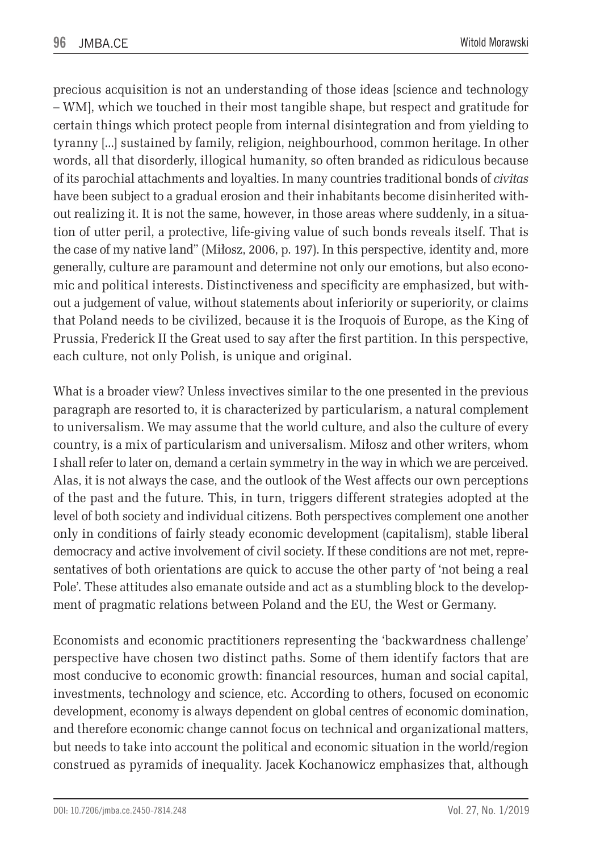precious acquisition is not an understanding of those ideas [science and technology – WM], which we touched in their most tangible shape, but respect and gratitude for certain things which protect people from internal disintegration and from yielding to tyranny [...] sustained by family, religion, neighbourhood, common heritage. In other words, all that disorderly, illogical humanity, so often branded as ridiculous because of its parochial attachments and loyalties. In many countries traditional bonds of *civitas* have been subject to a gradual erosion and their inhabitants become disinherited without realizing it. It is not the same, however, in those areas where suddenly, in a situation of utter peril, a protective, life-giving value of such bonds reveals itself. That is the case of my native land" (Miłosz, 2006, p. 197). In this perspective, identity and, more generally, culture are paramount and determine not only our emotions, but also economic and political interests. Distinctiveness and specificity are emphasized, but without a judgement of value, without statements about inferiority or superiority, or claims that Poland needs to be civilized, because it is the Iroquois of Europe, as the King of Prussia, Frederick II the Great used to say after the first partition. In this perspective, each culture, not only Polish, is unique and original.

What is a broader view? Unless invectives similar to the one presented in the previous paragraph are resorted to, it is characterized by particularism, a natural complement to universalism. We may assume that the world culture, and also the culture of every country, is a mix of particularism and universalism. Miłosz and other writers, whom I shall refer to later on, demand a certain symmetry in the way in which we are perceived. Alas, it is not always the case, and the outlook of the West affects our own perceptions of the past and the future. This, in turn, triggers different strategies adopted at the level of both society and individual citizens. Both perspectives complement one another only in conditions of fairly steady economic development (capitalism), stable liberal democracy and active involvement of civil society. If these conditions are not met, representatives of both orientations are quick to accuse the other party of 'not being a real Pole'. These attitudes also emanate outside and act as a stumbling block to the development of pragmatic relations between Poland and the EU, the West or Germany.

Economists and economic practitioners representing the 'backwardness challenge' perspective have chosen two distinct paths. Some of them identify factors that are most conducive to economic growth: financial resources, human and social capital, investments, technology and science, etc. According to others, focused on economic development, economy is always dependent on global centres of economic domination, and therefore economic change cannot focus on technical and organizational matters, but needs to take into account the political and economic situation in the world/region construed as pyramids of inequality. Jacek Kochanowicz emphasizes that, although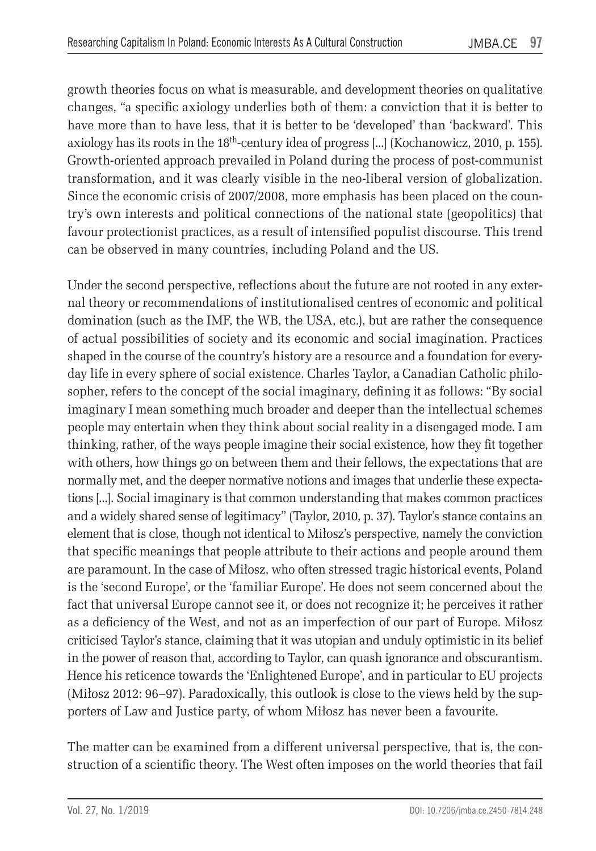growth theories focus on what is measurable, and development theories on qualitative changes, "a specific axiology underlies both of them: a conviction that it is better to have more than to have less, that it is better to be 'developed' than 'backward'. This axiology has its roots in the 18th-century idea of progress [...] (Kochanowicz, 2010, p. 155). Growth-oriented approach prevailed in Poland during the process of post-communist transformation, and it was clearly visible in the neo-liberal version of globalization. Since the economic crisis of 2007/2008, more emphasis has been placed on the country's own interests and political connections of the national state (geopolitics) that favour protectionist practices, as a result of intensified populist discourse. This trend can be observed in many countries, including Poland and the US.

Under the second perspective, reflections about the future are not rooted in any external theory or recommendations of institutionalised centres of economic and political domination (such as the IMF, the WB, the USA, etc.), but are rather the consequence of actual possibilities of society and its economic and social imagination. Practices shaped in the course of the country's history are a resource and a foundation for everyday life in every sphere of social existence. Charles Taylor, a Canadian Catholic philosopher, refers to the concept of the social imaginary, defining it as follows: "By social imaginary I mean something much broader and deeper than the intellectual schemes people may entertain when they think about social reality in a disengaged mode. I am thinking, rather, of the ways people imagine their social existence, how they fit together with others, how things go on between them and their fellows, the expectations that are normally met, and the deeper normative notions and images that underlie these expectations [...]. Social imaginary is that common understanding that makes common practices and a widely shared sense of legitimacy" (Taylor, 2010, p. 37). Taylor's stance contains an element that is close, though not identical to Miłosz's perspective, namely the conviction that specific meanings that people attribute to their actions and people around them are paramount. In the case of Miłosz, who often stressed tragic historical events, Poland is the 'second Europe', or the 'familiar Europe'. He does not seem concerned about the fact that universal Europe cannot see it, or does not recognize it; he perceives it rather as a deficiency of the West, and not as an imperfection of our part of Europe. Miłosz criticised Taylor's stance, claiming that it was utopian and unduly optimistic in its belief in the power of reason that, according to Taylor, can quash ignorance and obscurantism. Hence his reticence towards the 'Enlightened Europe', and in particular to EU projects (Miłosz 2012: 96–97). Paradoxically, this outlook is close to the views held by the supporters of Law and Justice party, of whom Miłosz has never been a favourite.

The matter can be examined from a different universal perspective, that is, the construction of a scientific theory. The West often imposes on the world theories that fail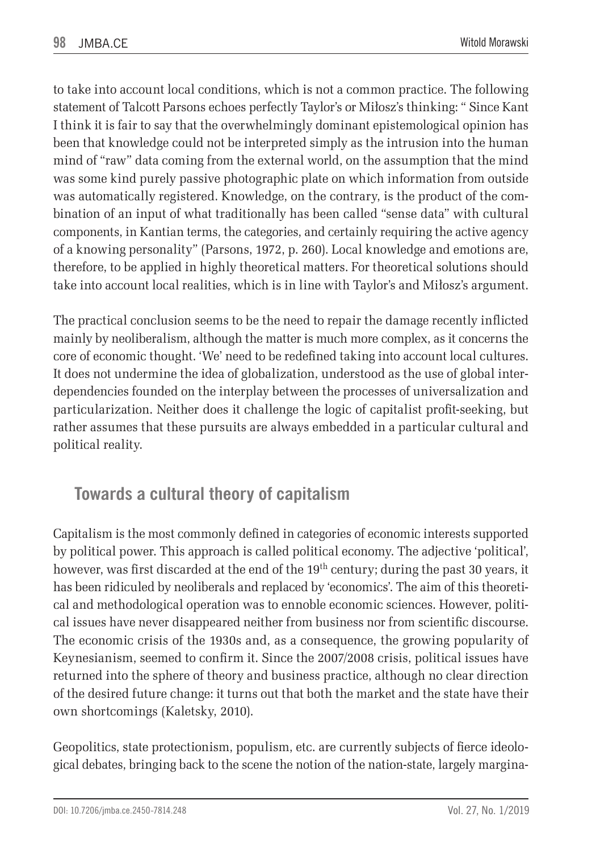to take into account local conditions, which is not a common practice. The following statement of Talcott Parsons echoes perfectly Taylor's or Miłosz's thinking: " Since Kant I think it is fair to say that the overwhelmingly dominant epistemological opinion has been that knowledge could not be interpreted simply as the intrusion into the human mind of "raw" data coming from the external world, on the assumption that the mind was some kind purely passive photographic plate on which information from outside was automatically registered. Knowledge, on the contrary, is the product of the combination of an input of what traditionally has been called "sense data" with cultural components, in Kantian terms, the categories, and certainly requiring the active agency of a knowing personality" (Parsons, 1972, p. 260). Local knowledge and emotions are, therefore, to be applied in highly theoretical matters. For theoretical solutions should take into account local realities, which is in line with Taylor's and Miłosz's argument.

The practical conclusion seems to be the need to repair the damage recently inflicted mainly by neoliberalism, although the matter is much more complex, as it concerns the core of economic thought. 'We' need to be redefined taking into account local cultures. It does not undermine the idea of globalization, understood as the use of global interdependencies founded on the interplay between the processes of universalization and particularization. Neither does it challenge the logic of capitalist profit-seeking, but rather assumes that these pursuits are always embedded in a particular cultural and political reality.

# **Towards a cultural theory of capitalism**

Capitalism is the most commonly defined in categories of economic interests supported by political power. This approach is called political economy. The adjective 'political', however, was first discarded at the end of the 19<sup>th</sup> century; during the past 30 years, it has been ridiculed by neoliberals and replaced by 'economics'. The aim of this theoretical and methodological operation was to ennoble economic sciences. However, political issues have never disappeared neither from business nor from scientific discourse. The economic crisis of the 1930s and, as a consequence, the growing popularity of Keynesianism, seemed to confirm it. Since the 2007/2008 crisis, political issues have returned into the sphere of theory and business practice, although no clear direction of the desired future change: it turns out that both the market and the state have their own shortcomings (Kaletsky, 2010).

Geopolitics, state protectionism, populism, etc. are currently subjects of fierce ideological debates, bringing back to the scene the notion of the nation-state, largely margina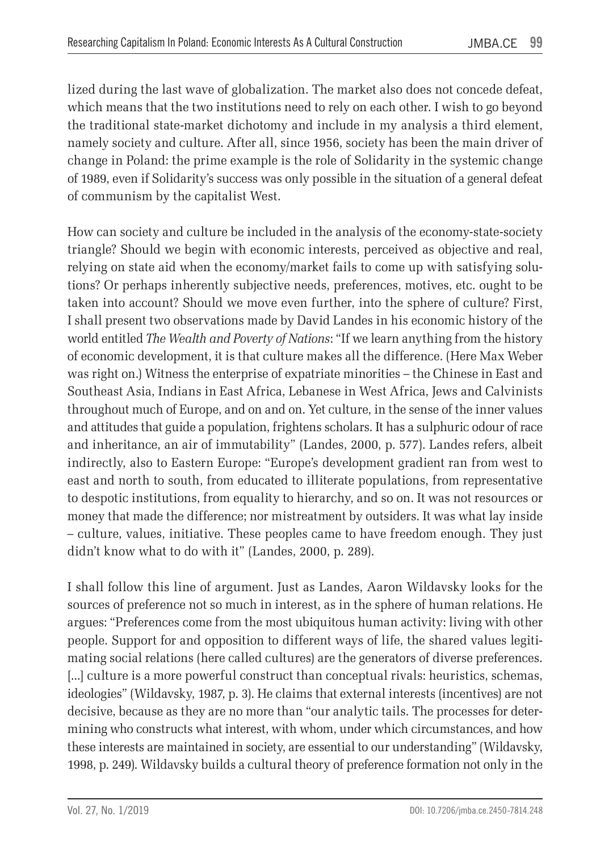lized during the last wave of globalization. The market also does not concede defeat, which means that the two institutions need to rely on each other. I wish to go beyond the traditional state-market dichotomy and include in my analysis a third element, namely society and culture. After all, since 1956, society has been the main driver of change in Poland: the prime example is the role of Solidarity in the systemic change of 1989, even if Solidarity's success was only possible in the situation of a general defeat of communism by the capitalist West.

How can society and culture be included in the analysis of the economy-state-society triangle? Should we begin with economic interests, perceived as objective and real, relying on state aid when the economy/market fails to come up with satisfying solutions? Or perhaps inherently subjective needs, preferences, motives, etc. ought to be taken into account? Should we move even further, into the sphere of culture? First, I shall present two observations made by David Landes in his economic history of the world entitled *The Wealth and Poverty of Nations*: "If we learn anything from the history of economic development, it is that culture makes all the difference. (Here Max Weber was right on.) Witness the enterprise of expatriate minorities – the Chinese in East and Southeast Asia, Indians in East Africa, Lebanese in West Africa, Jews and Calvinists throughout much of Europe, and on and on. Yet culture, in the sense of the inner values and attitudes that guide a population, frightens scholars. It has a sulphuric odour of race and inheritance, an air of immutability" (Landes, 2000, p. 577). Landes refers, albeit indirectly, also to Eastern Europe: "Europe's development gradient ran from west to east and north to south, from educated to illiterate populations, from representative to despotic institutions, from equality to hierarchy, and so on. It was not resources or money that made the difference; nor mistreatment by outsiders. It was what lay inside – culture, values, initiative. These peoples came to have freedom enough. They just didn't know what to do with it" (Landes, 2000, p. 289).

I shall follow this line of argument. Just as Landes, Aaron Wildavsky looks for the sources of preference not so much in interest, as in the sphere of human relations. He argues: "Preferences come from the most ubiquitous human activity: living with other people. Support for and opposition to different ways of life, the shared values legitimating social relations (here called cultures) are the generators of diverse preferences. [...] culture is a more powerful construct than conceptual rivals: heuristics, schemas, ideologies" (Wildavsky, 1987, p. 3). He claims that external interests (incentives) are not decisive, because as they are no more than "our analytic tails. The processes for determining who constructs what interest, with whom, under which circumstances, and how these interests are maintained in society, are essential to our understanding" (Wildavsky, 1998, p. 249). Wildavsky builds a cultural theory of preference formation not only in the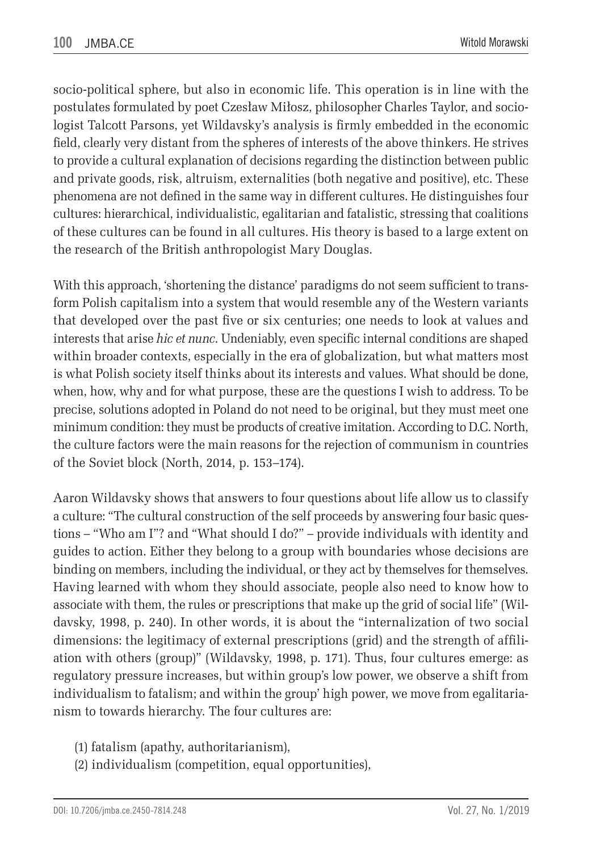socio-political sphere, but also in economic life. This operation is in line with the postulates formulated by poet Czesław Miłosz, philosopher Charles Taylor, and sociologist Talcott Parsons, yet Wildavsky's analysis is firmly embedded in the economic field, clearly very distant from the spheres of interests of the above thinkers. He strives to provide a cultural explanation of decisions regarding the distinction between public and private goods, risk, altruism, externalities (both negative and positive), etc. These phenomena are not defined in the same way in different cultures. He distinguishes four cultures: hierarchical, individualistic, egalitarian and fatalistic, stressing that coalitions of these cultures can be found in all cultures. His theory is based to a large extent on the research of the British anthropologist Mary Douglas.

With this approach, 'shortening the distance' paradigms do not seem sufficient to transform Polish capitalism into a system that would resemble any of the Western variants that developed over the past five or six centuries; one needs to look at values and interests that arise *hic et nunc*. Undeniably, even specific internal conditions are shaped within broader contexts, especially in the era of globalization, but what matters most is what Polish society itself thinks about its interests and values. What should be done, when, how, why and for what purpose, these are the questions I wish to address. To be precise, solutions adopted in Poland do not need to be original, but they must meet one minimum condition: they must be products of creative imitation. According to D.C. North, the culture factors were the main reasons for the rejection of communism in countries of the Soviet block (North, 2014, p. 153–174).

Aaron Wildavsky shows that answers to four questions about life allow us to classify a culture: "The cultural construction of the self proceeds by answering four basic questions – "Who am I"? and "What should I do?" – provide individuals with identity and guides to action. Either they belong to a group with boundaries whose decisions are binding on members, including the individual, or they act by themselves for themselves. Having learned with whom they should associate, people also need to know how to associate with them, the rules or prescriptions that make up the grid of social life" (Wildavsky, 1998, p. 240). In other words, it is about the "internalization of two social dimensions: the legitimacy of external prescriptions (grid) and the strength of affiliation with others (group)" (Wildavsky, 1998, p. 171). Thus, four cultures emerge: as regulatory pressure increases, but within group's low power, we observe a shift from individualism to fatalism; and within the group' high power, we move from egalitarianism to towards hierarchy. The four cultures are:

- (1) fatalism (apathy, authoritarianism),
- (2) individualism (competition, equal opportunities),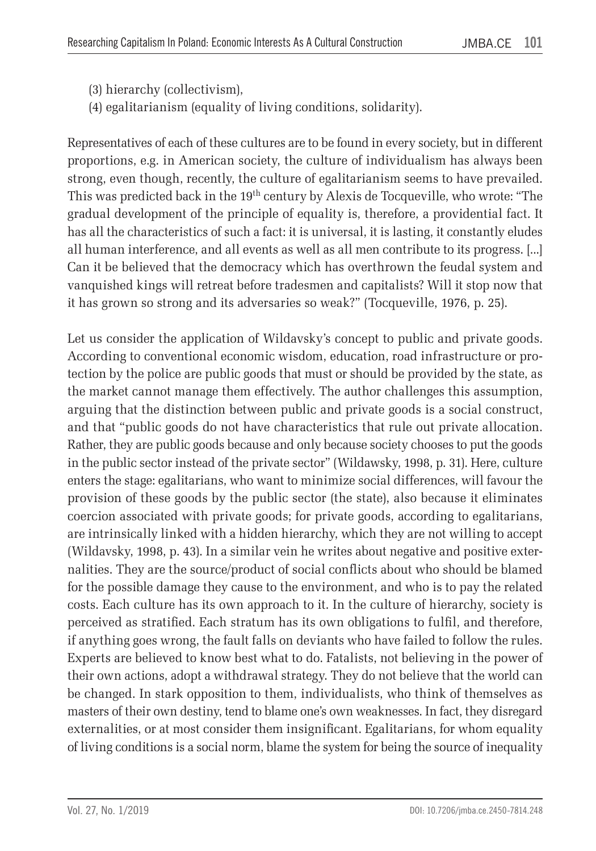- (3) hierarchy (collectivism),
- (4) egalitarianism (equality of living conditions, solidarity).

Representatives of each of these cultures are to be found in every society, but in different proportions, e.g. in American society, the culture of individualism has always been strong, even though, recently, the culture of egalitarianism seems to have prevailed. This was predicted back in the 19th century by Alexis de Tocqueville, who wrote: "The gradual development of the principle of equality is, therefore, a providential fact. It has all the characteristics of such a fact: it is universal, it is lasting, it constantly eludes all human interference, and all events as well as all men contribute to its progress. [...] Can it be believed that the democracy which has overthrown the feudal system and vanquished kings will retreat before tradesmen and capitalists? Will it stop now that it has grown so strong and its adversaries so weak?" (Tocqueville, 1976, p. 25).

Let us consider the application of Wildavsky's concept to public and private goods. According to conventional economic wisdom, education, road infrastructure or protection by the police are public goods that must or should be provided by the state, as the market cannot manage them effectively. The author challenges this assumption, arguing that the distinction between public and private goods is a social construct, and that "public goods do not have characteristics that rule out private allocation. Rather, they are public goods because and only because society chooses to put the goods in the public sector instead of the private sector" (Wildawsky, 1998, p. 31). Here, culture enters the stage: egalitarians, who want to minimize social differences, will favour the provision of these goods by the public sector (the state), also because it eliminates coercion associated with private goods; for private goods, according to egalitarians, are intrinsically linked with a hidden hierarchy, which they are not willing to accept (Wildavsky, 1998, p. 43). In a similar vein he writes about negative and positive externalities. They are the source/product of social conflicts about who should be blamed for the possible damage they cause to the environment, and who is to pay the related costs. Each culture has its own approach to it. In the culture of hierarchy, society is perceived as stratified. Each stratum has its own obligations to fulfil, and therefore, if anything goes wrong, the fault falls on deviants who have failed to follow the rules. Experts are believed to know best what to do. Fatalists, not believing in the power of their own actions, adopt a withdrawal strategy. They do not believe that the world can be changed. In stark opposition to them, individualists, who think of themselves as masters of their own destiny, tend to blame one's own weaknesses. In fact, they disregard externalities, or at most consider them insignificant. Egalitarians, for whom equality of living conditions is a social norm, blame the system for being the source of inequality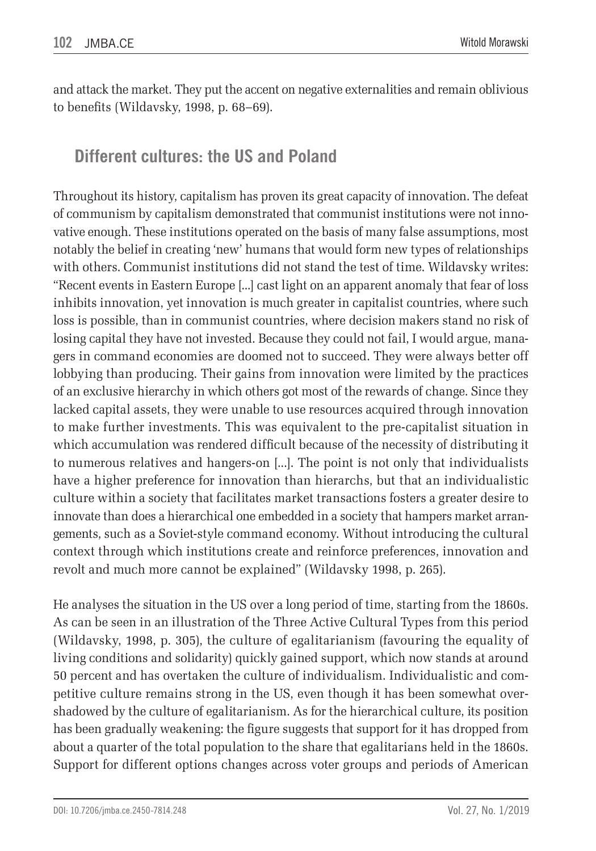and attack the market. They put the accent on negative externalities and remain oblivious to benefits (Wildavsky, 1998, p. 68–69).

# **Different cultures: the US and Poland**

Throughout its history, capitalism has proven its great capacity of innovation. The defeat of communism by capitalism demonstrated that communist institutions were not innovative enough. These institutions operated on the basis of many false assumptions, most notably the belief in creating 'new' humans that would form new types of relationships with others. Communist institutions did not stand the test of time. Wildavsky writes: "Recent events in Eastern Europe [...] cast light on an apparent anomaly that fear of loss inhibits innovation, yet innovation is much greater in capitalist countries, where such loss is possible, than in communist countries, where decision makers stand no risk of losing capital they have not invested. Because they could not fail, I would argue, managers in command economies are doomed not to succeed. They were always better off lobbying than producing. Their gains from innovation were limited by the practices of an exclusive hierarchy in which others got most of the rewards of change. Since they lacked capital assets, they were unable to use resources acquired through innovation to make further investments. This was equivalent to the pre-capitalist situation in which accumulation was rendered difficult because of the necessity of distributing it to numerous relatives and hangers-on [...]. The point is not only that individualists have a higher preference for innovation than hierarchs, but that an individualistic culture within a society that facilitates market transactions fosters a greater desire to innovate than does a hierarchical one embedded in a society that hampers market arrangements, such as a Soviet-style command economy. Without introducing the cultural context through which institutions create and reinforce preferences, innovation and revolt and much more cannot be explained" (Wildavsky 1998, p. 265).

He analyses the situation in the US over a long period of time, starting from the 1860s. As can be seen in an illustration of the Three Active Cultural Types from this period (Wildavsky, 1998, p. 305), the culture of egalitarianism (favouring the equality of living conditions and solidarity) quickly gained support, which now stands at around 50 percent and has overtaken the culture of individualism. Individualistic and competitive culture remains strong in the US, even though it has been somewhat overshadowed by the culture of egalitarianism. As for the hierarchical culture, its position has been gradually weakening: the figure suggests that support for it has dropped from about a quarter of the total population to the share that egalitarians held in the 1860s. Support for different options changes across voter groups and periods of American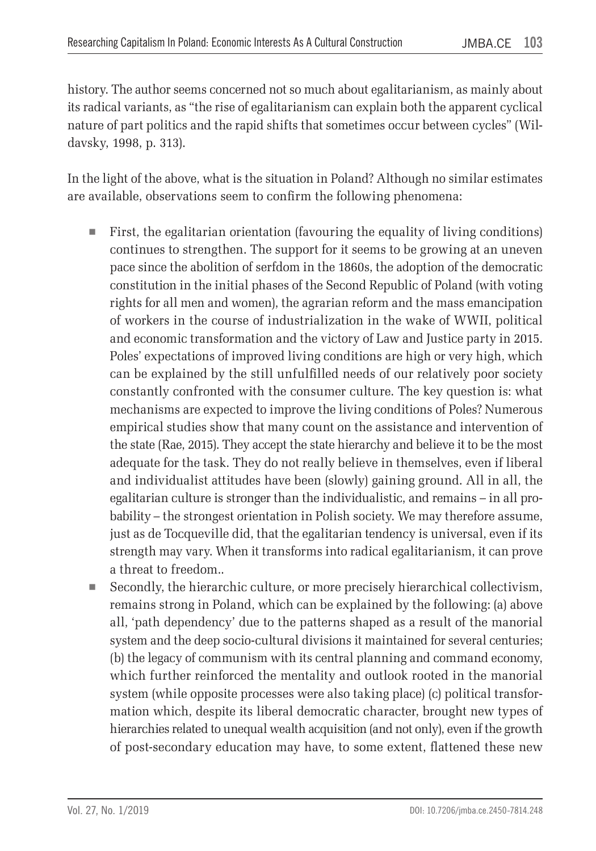history. The author seems concerned not so much about egalitarianism, as mainly about its radical variants, as "the rise of egalitarianism can explain both the apparent cyclical nature of part politics and the rapid shifts that sometimes occur between cycles" (Wildavsky, 1998, p. 313).

In the light of the above, what is the situation in Poland? Although no similar estimates are available, observations seem to confirm the following phenomena:

- $\blacksquare$  First, the egalitarian orientation (favouring the equality of living conditions) continues to strengthen. The support for it seems to be growing at an uneven pace since the abolition of serfdom in the 1860s, the adoption of the democratic constitution in the initial phases of the Second Republic of Poland (with voting rights for all men and women), the agrarian reform and the mass emancipation of workers in the course of industrialization in the wake of WWII, political and economic transformation and the victory of Law and Justice party in 2015. Poles' expectations of improved living conditions are high or very high, which can be explained by the still unfulfilled needs of our relatively poor society constantly confronted with the consumer culture. The key question is: what mechanisms are expected to improve the living conditions of Poles? Numerous empirical studies show that many count on the assistance and intervention of the state (Rae, 2015). They accept the state hierarchy and believe it to be the most adequate for the task. They do not really believe in themselves, even if liberal and individualist attitudes have been (slowly) gaining ground. All in all, the egalitarian culture is stronger than the individualistic, and remains – in all probability – the strongest orientation in Polish society. We may therefore assume, just as de Tocqueville did, that the egalitarian tendency is universal, even if its strength may vary. When it transforms into radical egalitarianism, it can prove a threat to freedom..
- Secondly, the hierarchic culture, or more precisely hierarchical collectivism, remains strong in Poland, which can be explained by the following: (a) above all, 'path dependency' due to the patterns shaped as a result of the manorial system and the deep socio-cultural divisions it maintained for several centuries; (b) the legacy of communism with its central planning and command economy, which further reinforced the mentality and outlook rooted in the manorial system (while opposite processes were also taking place) (c) political transformation which, despite its liberal democratic character, brought new types of hierarchies related to unequal wealth acquisition (and not only), even if the growth of post-secondary education may have, to some extent, flattened these new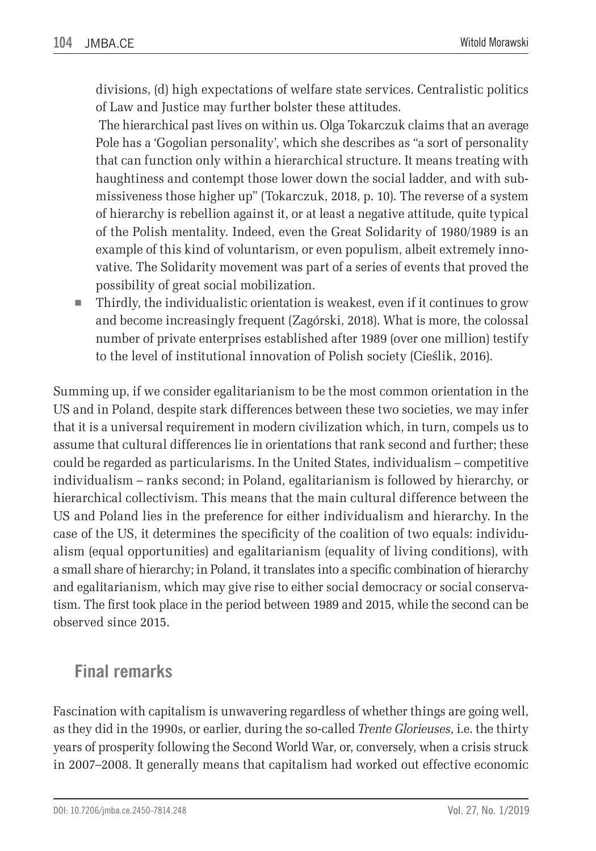divisions, (d) high expectations of welfare state services. Centralistic politics of Law and Justice may further bolster these attitudes.

 The hierarchical past lives on within us. Olga Tokarczuk claims that an average Pole has a 'Gogolian personality', which she describes as "a sort of personality that can function only within a hierarchical structure. It means treating with haughtiness and contempt those lower down the social ladder, and with submissiveness those higher up" (Tokarczuk, 2018, p. 10). The reverse of a system of hierarchy is rebellion against it, or at least a negative attitude, quite typical of the Polish mentality. Indeed, even the Great Solidarity of 1980/1989 is an example of this kind of voluntarism, or even populism, albeit extremely innovative. The Solidarity movement was part of a series of events that proved the possibility of great social mobilization.

 Thirdly, the individualistic orientation is weakest, even if it continues to grow and become increasingly frequent (Zagórski, 2018). What is more, the colossal number of private enterprises established after 1989 (over one million) testify to the level of institutional innovation of Polish society (Cieślik, 2016).

Summing up, if we consider egalitarianism to be the most common orientation in the US and in Poland, despite stark differences between these two societies, we may infer that it is a universal requirement in modern civilization which, in turn, compels us to assume that cultural differences lie in orientations that rank second and further; these could be regarded as particularisms. In the United States, individualism – competitive individualism – ranks second; in Poland, egalitarianism is followed by hierarchy, or hierarchical collectivism. This means that the main cultural difference between the US and Poland lies in the preference for either individualism and hierarchy. In the case of the US, it determines the specificity of the coalition of two equals: individualism (equal opportunities) and egalitarianism (equality of living conditions), with a small share of hierarchy; in Poland, it translates into a specific combination of hierarchy and egalitarianism, which may give rise to either social democracy or social conservatism. The first took place in the period between 1989 and 2015, while the second can be observed since 2015.

#### **Final remarks**

Fascination with capitalism is unwavering regardless of whether things are going well, as they did in the 1990s, or earlier, during the so-called *Trente Glorieuses*, i.e. the thirty years of prosperity following the Second World War, or, conversely, when a crisis struck in 2007–2008. It generally means that capitalism had worked out effective economic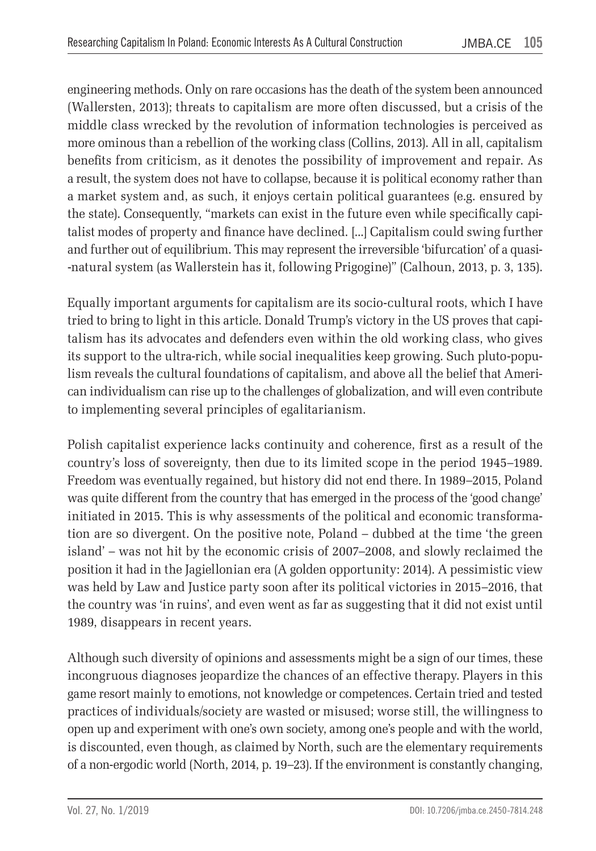engineering methods. Only on rare occasions has the death of the system been announced (Wallersten, 2013); threats to capitalism are more often discussed, but a crisis of the middle class wrecked by the revolution of information technologies is perceived as more ominous than a rebellion of the working class (Collins, 2013). All in all, capitalism benefits from criticism, as it denotes the possibility of improvement and repair. As a result, the system does not have to collapse, because it is political economy rather than a market system and, as such, it enjoys certain political guarantees (e.g. ensured by the state). Consequently, "markets can exist in the future even while specifically capitalist modes of property and finance have declined. [...] Capitalism could swing further and further out of equilibrium. This may represent the irreversible 'bifurcation' of a quasi- -natural system (as Wallerstein has it, following Prigogine)" (Calhoun, 2013, p. 3, 135).

Equally important arguments for capitalism are its socio-cultural roots, which I have tried to bring to light in this article. Donald Trump's victory in the US proves that capitalism has its advocates and defenders even within the old working class, who gives its support to the ultra-rich, while social inequalities keep growing. Such pluto-populism reveals the cultural foundations of capitalism, and above all the belief that American individualism can rise up to the challenges of globalization, and will even contribute to implementing several principles of egalitarianism.

Polish capitalist experience lacks continuity and coherence, first as a result of the country's loss of sovereignty, then due to its limited scope in the period 1945–1989. Freedom was eventually regained, but history did not end there. In 1989–2015, Poland was quite different from the country that has emerged in the process of the 'good change' initiated in 2015. This is why assessments of the political and economic transformation are so divergent. On the positive note, Poland – dubbed at the time 'the green island' – was not hit by the economic crisis of 2007–2008, and slowly reclaimed the position it had in the Jagiellonian era (A golden opportunity: 2014). A pessimistic view was held by Law and Justice party soon after its political victories in 2015–2016, that the country was 'in ruins', and even went as far as suggesting that it did not exist until 1989, disappears in recent years.

Although such diversity of opinions and assessments might be a sign of our times, these incongruous diagnoses jeopardize the chances of an effective therapy. Players in this game resort mainly to emotions, not knowledge or competences. Certain tried and tested practices of individuals/society are wasted or misused; worse still, the willingness to open up and experiment with one's own society, among one's people and with the world, is discounted, even though, as claimed by North, such are the elementary requirements of a non-ergodic world (North, 2014, p. 19–23). If the environment is constantly changing,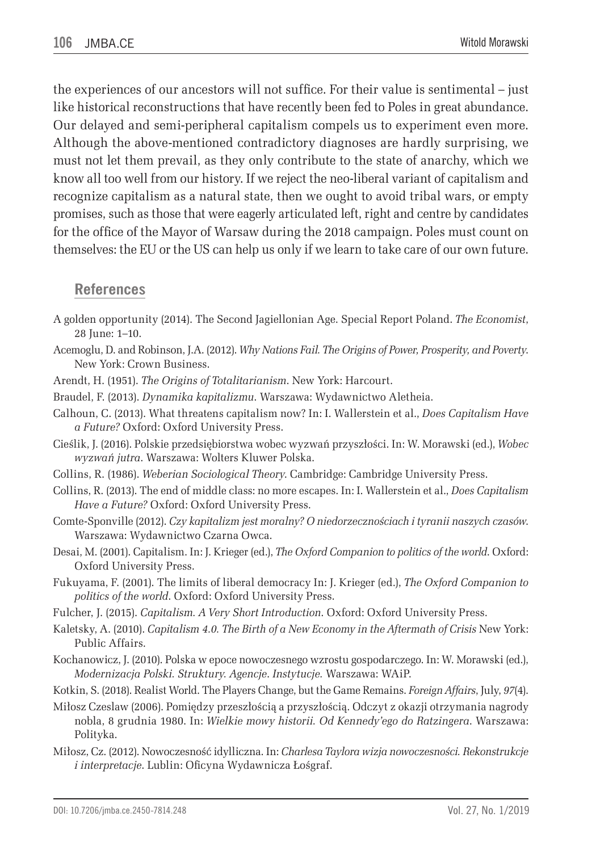the experiences of our ancestors will not suffice. For their value is sentimental – just like historical reconstructions that have recently been fed to Poles in great abundance. Our delayed and semi-peripheral capitalism compels us to experiment even more. Although the above-mentioned contradictory diagnoses are hardly surprising, we must not let them prevail, as they only contribute to the state of anarchy, which we know all too well from our history. If we reject the neo-liberal variant of capitalism and recognize capitalism as a natural state, then we ought to avoid tribal wars, or empty promises, such as those that were eagerly articulated left, right and centre by candidates for the office of the Mayor of Warsaw during the 2018 campaign. Poles must count on themselves: the EU or the US can help us only if we learn to take care of our own future.

#### **References**

- A golden opportunity (2014). The Second Jagiellonian Age. Special Report Poland. *The Economist*, 28 June: 1–10.
- Acemoglu, D. and Robinson, J.A. (2012). *Why Nations Fail. The Origins of Power, Prosperity, and Poverty*. New York: Crown Business.
- Arendt, H. (1951). *The Origins of Totalitarianism*. New York: Harcourt.
- Braudel, F. (2013). *Dynamika kapitalizmu*. Warszawa: Wydawnictwo Aletheia.
- Calhoun, C. (2013). What threatens capitalism now? In: I. Wallerstein et al., *Does Capitalism Have a Future?* Oxford: Oxford University Press.
- Cieślik, J. (2016). Polskie przedsiębiorstwa wobec wyzwań przyszłości. In: W. Morawski (ed.), *Wobec wyzwań jutra*. Warszawa: Wolters Kluwer Polska.
- Collins, R. (1986). *Weberian Sociological Theory*. Cambridge: Cambridge University Press.
- Collins, R. (2013). The end of middle class: no more escapes. In: I. Wallerstein et al., *Does Capitalism Have a Future?* Oxford: Oxford University Press.
- Comte-Sponville (2012). *Czy kapitalizm jest moralny? O niedorzecznościach i tyranii naszych czasów*. Warszawa: Wydawnictwo Czarna Owca.
- Desai, M. (2001). Capitalism. In: J. Krieger (ed.), *The Oxford Companion to politics of the world*. Oxford: Oxford University Press.
- Fukuyama, F. (2001). The limits of liberal democracy In: J. Krieger (ed.), *The Oxford Companion to politics of the world*. Oxford: Oxford University Press.
- Fulcher, J. (2015). *Capitalism. A Very Short Introduction*. Oxford: Oxford University Press.
- Kaletsky, A. (2010). *Capitalism 4.0. The Birth of a New Economy in the Aftermath of Crisis* New York: Public Affairs.
- Kochanowicz, J. (2010). Polska w epoce nowoczesnego wzrostu gospodarczego. In: W. Morawski (ed.), *Modernizacja Polski. Struktury. Agencje*. *Instytucje.* Warszawa: WAiP.
- Kotkin, S. (2018). Realist World. The Players Change, but the Game Remains. *Foreign Affairs*, July, *97*(4).
- Miłosz Czeslaw (2006). Pomiędzy przeszłością a przyszłością. Odczyt z okazji otrzymania nagrody nobla, 8 grudnia 1980. In: *Wielkie mowy historii. Od Kennedy'ego do Ratzingera*. Warszawa: Polityka.
- Miłosz, Cz. (2012). Nowoczesność idylliczna. In: *Charlesa Taylora wizja nowoczesności. Rekonstrukcje i interpretacje*. Lublin: Oficyna Wydawnicza Łośgraf.